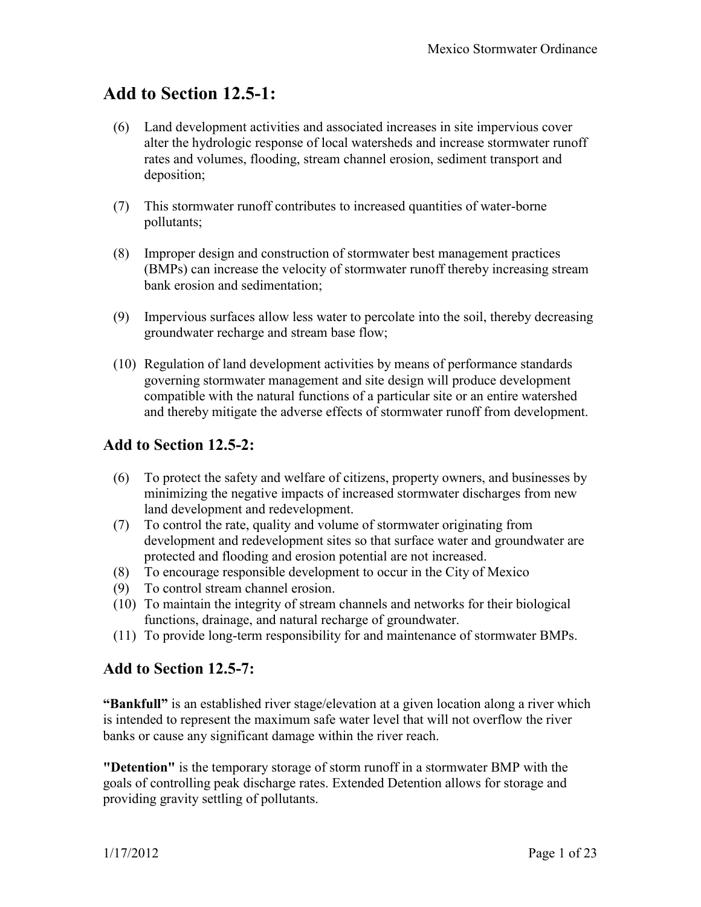# **Add to Section 12.5-1:**

- (6) Land development activities and associated increases in site impervious cover alter the hydrologic response of local watersheds and increase stormwater runoff rates and volumes, flooding, stream channel erosion, sediment transport and deposition;
- (7) This stormwater runoff contributes to increased quantities of water-borne pollutants;
- (8) Improper design and construction of stormwater best management practices (BMPs) can increase the velocity of stormwater runoff thereby increasing stream bank erosion and sedimentation;
- (9) Impervious surfaces allow less water to percolate into the soil, thereby decreasing groundwater recharge and stream base flow;
- (10) Regulation of land development activities by means of performance standards governing stormwater management and site design will produce development compatible with the natural functions of a particular site or an entire watershed and thereby mitigate the adverse effects of stormwater runoff from development.

## **Add to Section 12.5-2:**

- (6) To protect the safety and welfare of citizens, property owners, and businesses by minimizing the negative impacts of increased stormwater discharges from new land development and redevelopment.
- (7) To control the rate, quality and volume of stormwater originating from development and redevelopment sites so that surface water and groundwater are protected and flooding and erosion potential are not increased.
- (8) To encourage responsible development to occur in the City of Mexico
- (9) To control stream channel erosion.
- (10) To maintain the integrity of stream channels and networks for their biological functions, drainage, and natural recharge of groundwater.
- (11) To provide long-term responsibility for and maintenance of stormwater BMPs.

### **Add to Section 12.5-7:**

**"Bankfull"** is an established river stage/elevation at a given location along a river which is intended to represent the maximum safe water level that will not overflow the river banks or cause any significant damage within the river reach.

**"Detention"** is the temporary storage of storm runoff in a stormwater BMP with the goals of controlling peak discharge rates. Extended Detention allows for storage and providing gravity settling of pollutants.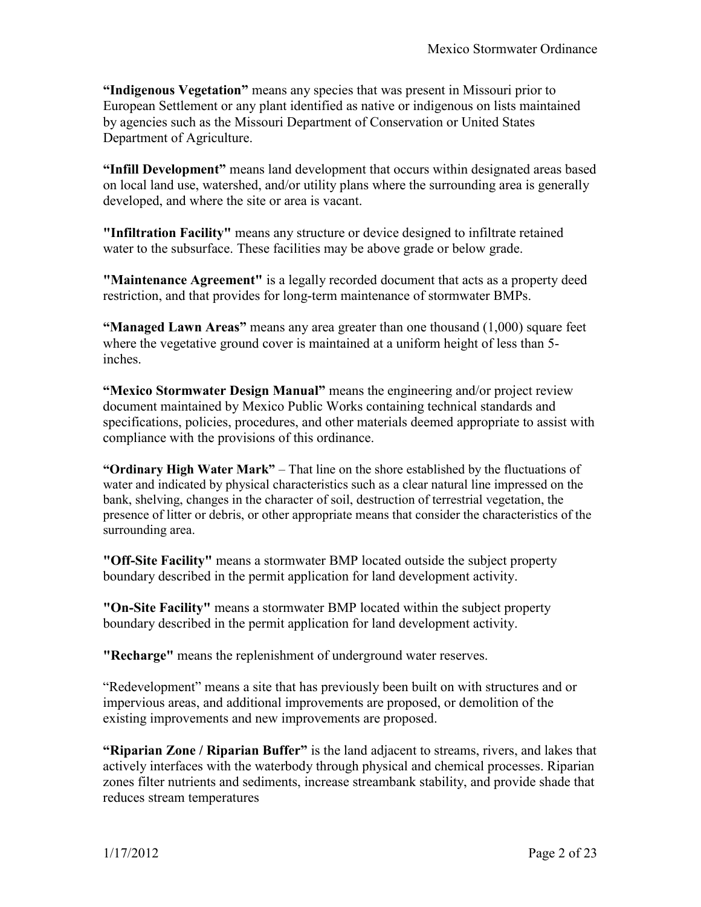**"Indigenous Vegetation"** means any species that was present in Missouri prior to European Settlement or any plant identified as native or indigenous on lists maintained by agencies such as the Missouri Department of Conservation or United States Department of Agriculture.

**"Infill Development"** means land development that occurs within designated areas based on local land use, watershed, and/or utility plans where the surrounding area is generally developed, and where the site or area is vacant.

**"Infiltration Facility"** means any structure or device designed to infiltrate retained water to the subsurface. These facilities may be above grade or below grade.

**"Maintenance Agreement"** is a legally recorded document that acts as a property deed restriction, and that provides for long-term maintenance of stormwater BMPs.

**"Managed Lawn Areas"** means any area greater than one thousand (1,000) square feet where the vegetative ground cover is maintained at a uniform height of less than 5 inches.

**"Mexico Stormwater Design Manual"** means the engineering and/or project review document maintained by Mexico Public Works containing technical standards and specifications, policies, procedures, and other materials deemed appropriate to assist with compliance with the provisions of this ordinance.

**"Ordinary High Water Mark"** – That line on the shore established by the fluctuations of water and indicated by physical characteristics such as a clear natural line impressed on the bank, shelving, changes in the character of soil, destruction of terrestrial vegetation, the presence of litter or debris, or other appropriate means that consider the characteristics of the surrounding area.

**"Off-Site Facility"** means a stormwater BMP located outside the subject property boundary described in the permit application for land development activity.

**"On-Site Facility"** means a stormwater BMP located within the subject property boundary described in the permit application for land development activity.

**"Recharge"** means the replenishment of underground water reserves.

"Redevelopment" means a site that has previously been built on with structures and or impervious areas, and additional improvements are proposed, or demolition of the existing improvements and new improvements are proposed.

**"Riparian Zone / Riparian Buffer"** is the land adjacent to streams, rivers, and lakes that actively interfaces with the waterbody through physical and chemical processes. Riparian zones filter nutrients and sediments, increase streambank stability, and provide shade that reduces stream temperatures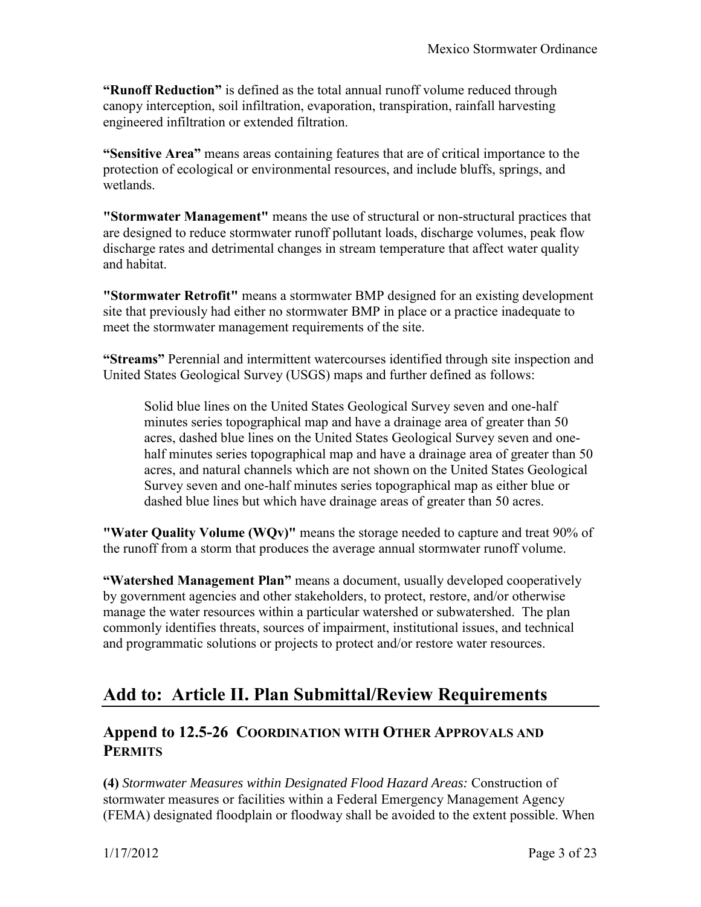**"Runoff Reduction"** is defined as the total annual runoff volume reduced through canopy interception, soil infiltration, evaporation, transpiration, rainfall harvesting engineered infiltration or extended filtration.

**"Sensitive Area"** means areas containing features that are of critical importance to the protection of ecological or environmental resources, and include bluffs, springs, and wetlands.

**"Stormwater Management"** means the use of structural or non-structural practices that are designed to reduce stormwater runoff pollutant loads, discharge volumes, peak flow discharge rates and detrimental changes in stream temperature that affect water quality and habitat.

**"Stormwater Retrofit"** means a stormwater BMP designed for an existing development site that previously had either no stormwater BMP in place or a practice inadequate to meet the stormwater management requirements of the site.

**"Streams"** Perennial and intermittent watercourses identified through site inspection and United States Geological Survey (USGS) maps and further defined as follows:

Solid blue lines on the United States Geological Survey seven and one-half minutes series topographical map and have a drainage area of greater than 50 acres, dashed blue lines on the United States Geological Survey seven and onehalf minutes series topographical map and have a drainage area of greater than 50 acres, and natural channels which are not shown on the United States Geological Survey seven and one-half minutes series topographical map as either blue or dashed blue lines but which have drainage areas of greater than 50 acres.

**"Water Quality Volume (WQv)"** means the storage needed to capture and treat 90% of the runoff from a storm that produces the average annual stormwater runoff volume.

**"Watershed Management Plan"** means a document, usually developed cooperatively by government agencies and other stakeholders, to protect, restore, and/or otherwise manage the water resources within a particular watershed or subwatershed. The plan commonly identifies threats, sources of impairment, institutional issues, and technical and programmatic solutions or projects to protect and/or restore water resources.

# **Add to: Article II. Plan Submittal/Review Requirements**

## **Append to 12.5-26 COORDINATION WITH OTHER APPROVALS AND PERMITS**

**(4)** *Stormwater Measures within Designated Flood Hazard Areas:* Construction of stormwater measures or facilities within a Federal Emergency Management Agency (FEMA) designated floodplain or floodway shall be avoided to the extent possible. When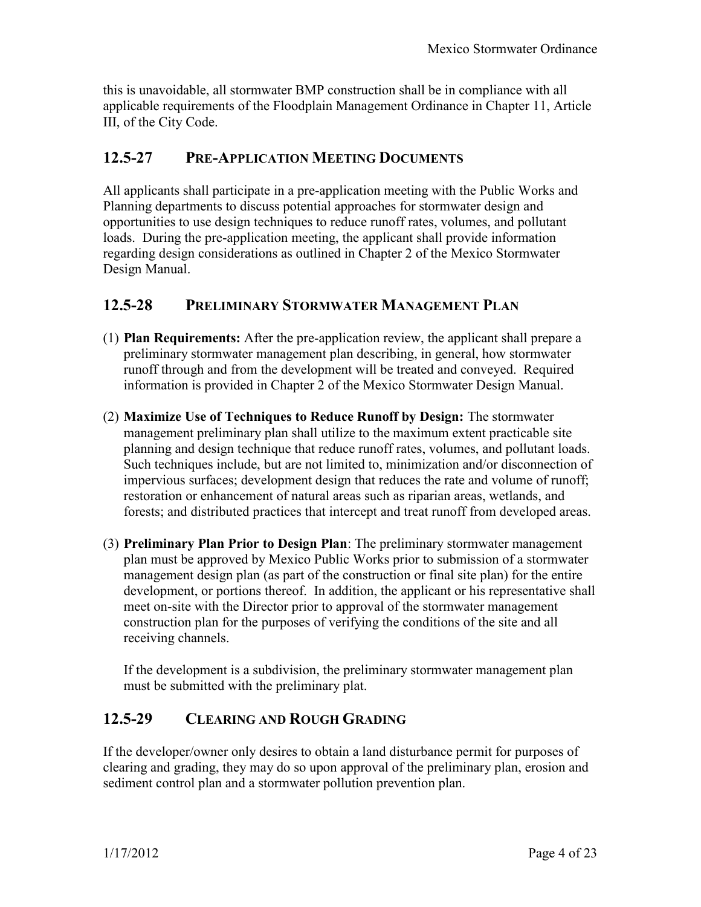this is unavoidable, all stormwater BMP construction shall be in compliance with all applicable requirements of the Floodplain Management Ordinance in Chapter 11, Article III, of the City Code.

### **12.5-27 PRE-APPLICATION MEETING DOCUMENTS**

All applicants shall participate in a pre-application meeting with the Public Works and Planning departments to discuss potential approaches for stormwater design and opportunities to use design techniques to reduce runoff rates, volumes, and pollutant loads. During the pre-application meeting, the applicant shall provide information regarding design considerations as outlined in Chapter 2 of the Mexico Stormwater Design Manual.

#### **12.5-28 PRELIMINARY STORMWATER MANAGEMENT PLAN**

- (1) **Plan Requirements:** After the pre-application review, the applicant shall prepare a preliminary stormwater management plan describing, in general, how stormwater runoff through and from the development will be treated and conveyed. Required information is provided in Chapter 2 of the Mexico Stormwater Design Manual.
- (2) **Maximize Use of Techniques to Reduce Runoff by Design:** The stormwater management preliminary plan shall utilize to the maximum extent practicable site planning and design technique that reduce runoff rates, volumes, and pollutant loads. Such techniques include, but are not limited to, minimization and/or disconnection of impervious surfaces; development design that reduces the rate and volume of runoff; restoration or enhancement of natural areas such as riparian areas, wetlands, and forests; and distributed practices that intercept and treat runoff from developed areas.
- (3) **Preliminary Plan Prior to Design Plan**: The preliminary stormwater management plan must be approved by Mexico Public Works prior to submission of a stormwater management design plan (as part of the construction or final site plan) for the entire development, or portions thereof. In addition, the applicant or his representative shall meet on-site with the Director prior to approval of the stormwater management construction plan for the purposes of verifying the conditions of the site and all receiving channels.

If the development is a subdivision, the preliminary stormwater management plan must be submitted with the preliminary plat.

### **12.5-29 CLEARING AND ROUGH GRADING**

If the developer/owner only desires to obtain a land disturbance permit for purposes of clearing and grading, they may do so upon approval of the preliminary plan, erosion and sediment control plan and a stormwater pollution prevention plan.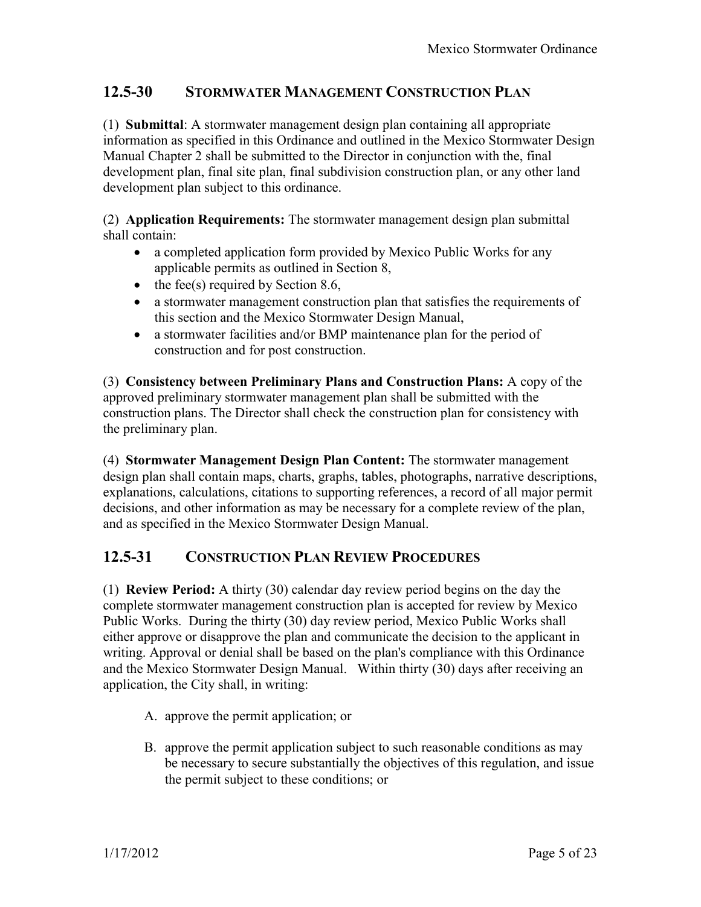## **12.5-30 STORMWATER MANAGEMENT CONSTRUCTION PLAN**

(1) **Submittal**: A stormwater management design plan containing all appropriate information as specified in this Ordinance and outlined in the Mexico Stormwater Design Manual Chapter 2 shall be submitted to the Director in conjunction with the, final development plan, final site plan, final subdivision construction plan, or any other land development plan subject to this ordinance.

(2) **Application Requirements:** The stormwater management design plan submittal shall contain:

- a completed application form provided by Mexico Public Works for any applicable permits as outlined in Section 8,
- $\bullet$  the fee(s) required by Section 8.6,
- a stormwater management construction plan that satisfies the requirements of this section and the Mexico Stormwater Design Manual,
- a stormwater facilities and/or BMP maintenance plan for the period of construction and for post construction.

(3) **Consistency between Preliminary Plans and Construction Plans:** A copy of the approved preliminary stormwater management plan shall be submitted with the construction plans. The Director shall check the construction plan for consistency with the preliminary plan.

(4) **Stormwater Management Design Plan Content:** The stormwater management design plan shall contain maps, charts, graphs, tables, photographs, narrative descriptions, explanations, calculations, citations to supporting references, a record of all major permit decisions, and other information as may be necessary for a complete review of the plan, and as specified in the Mexico Stormwater Design Manual.

#### **12.5-31 CONSTRUCTION PLAN REVIEW PROCEDURES**

(1) **Review Period:** A thirty (30) calendar day review period begins on the day the complete stormwater management construction plan is accepted for review by Mexico Public Works. During the thirty (30) day review period, Mexico Public Works shall either approve or disapprove the plan and communicate the decision to the applicant in writing. Approval or denial shall be based on the plan's compliance with this Ordinance and the Mexico Stormwater Design Manual. Within thirty (30) days after receiving an application, the City shall, in writing:

- A. approve the permit application; or
- B. approve the permit application subject to such reasonable conditions as may be necessary to secure substantially the objectives of this regulation, and issue the permit subject to these conditions; or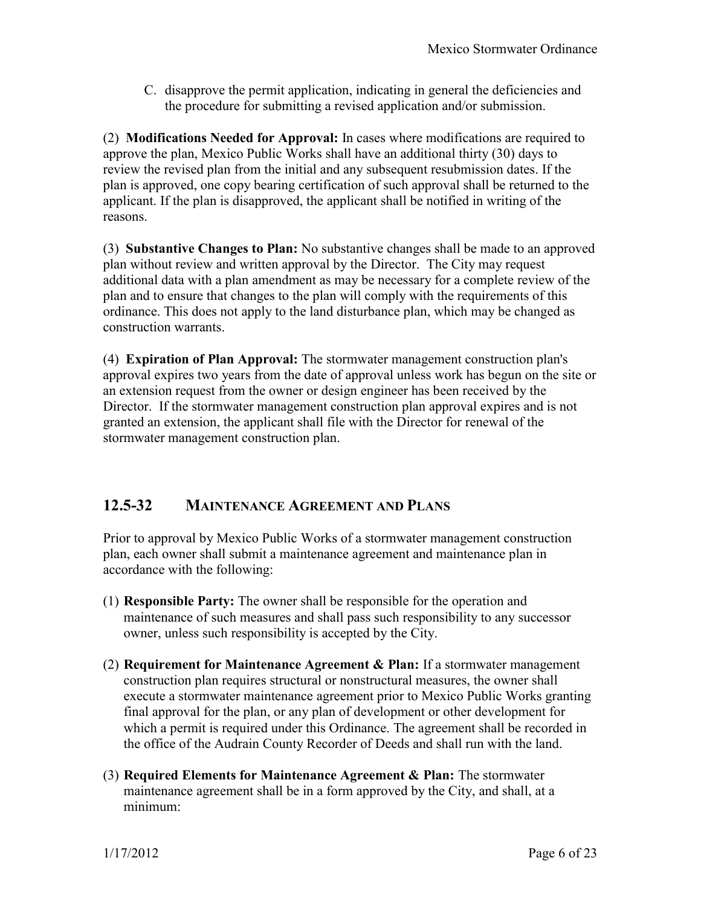C. disapprove the permit application, indicating in general the deficiencies and the procedure for submitting a revised application and/or submission.

(2) **Modifications Needed for Approval:** In cases where modifications are required to approve the plan, Mexico Public Works shall have an additional thirty (30) days to review the revised plan from the initial and any subsequent resubmission dates. If the plan is approved, one copy bearing certification of such approval shall be returned to the applicant. If the plan is disapproved, the applicant shall be notified in writing of the reasons.

(3) **Substantive Changes to Plan:** No substantive changes shall be made to an approved plan without review and written approval by the Director. The City may request additional data with a plan amendment as may be necessary for a complete review of the plan and to ensure that changes to the plan will comply with the requirements of this ordinance. This does not apply to the land disturbance plan, which may be changed as construction warrants.

(4) **Expiration of Plan Approval:** The stormwater management construction plan's approval expires two years from the date of approval unless work has begun on the site or an extension request from the owner or design engineer has been received by the Director. If the stormwater management construction plan approval expires and is not granted an extension, the applicant shall file with the Director for renewal of the stormwater management construction plan.

# **12.5-32 MAINTENANCE AGREEMENT AND PLANS**

Prior to approval by Mexico Public Works of a stormwater management construction plan, each owner shall submit a maintenance agreement and maintenance plan in accordance with the following:

- (1) **Responsible Party:** The owner shall be responsible for the operation and maintenance of such measures and shall pass such responsibility to any successor owner, unless such responsibility is accepted by the City.
- (2) **Requirement for Maintenance Agreement & Plan:** If a stormwater management construction plan requires structural or nonstructural measures, the owner shall execute a stormwater maintenance agreement prior to Mexico Public Works granting final approval for the plan, or any plan of development or other development for which a permit is required under this Ordinance. The agreement shall be recorded in the office of the Audrain County Recorder of Deeds and shall run with the land.
- (3) **Required Elements for Maintenance Agreement & Plan:** The stormwater maintenance agreement shall be in a form approved by the City, and shall, at a minimum: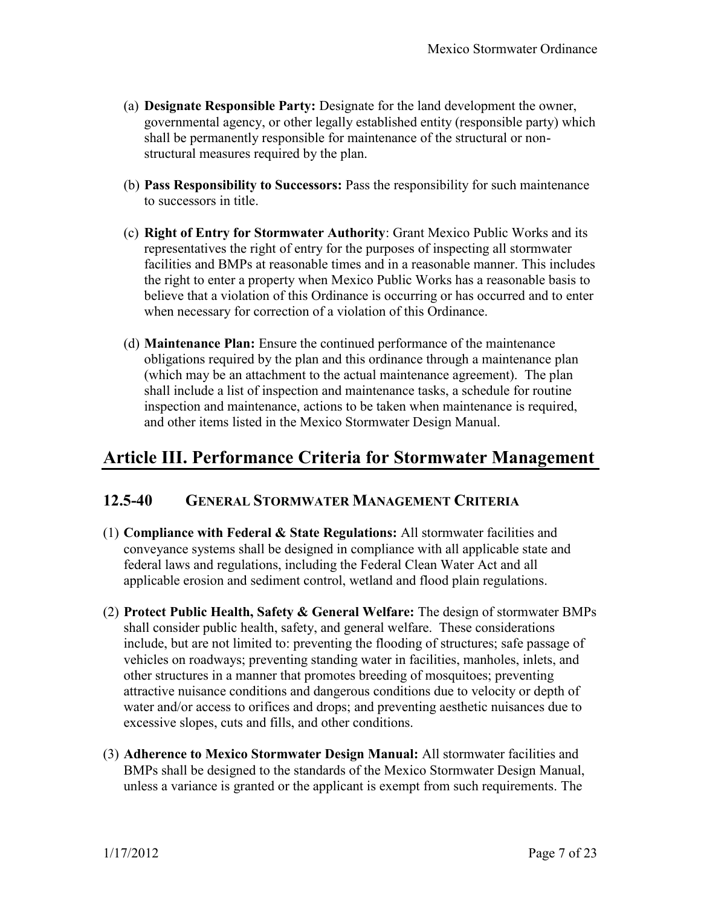- (a) **Designate Responsible Party:** Designate for the land development the owner, governmental agency, or other legally established entity (responsible party) which shall be permanently responsible for maintenance of the structural or nonstructural measures required by the plan.
- (b) **Pass Responsibility to Successors:** Pass the responsibility for such maintenance to successors in title.
- (c) **Right of Entry for Stormwater Authority**: Grant Mexico Public Works and its representatives the right of entry for the purposes of inspecting all stormwater facilities and BMPs at reasonable times and in a reasonable manner. This includes the right to enter a property when Mexico Public Works has a reasonable basis to believe that a violation of this Ordinance is occurring or has occurred and to enter when necessary for correction of a violation of this Ordinance.
- (d) **Maintenance Plan:** Ensure the continued performance of the maintenance obligations required by the plan and this ordinance through a maintenance plan (which may be an attachment to the actual maintenance agreement). The plan shall include a list of inspection and maintenance tasks, a schedule for routine inspection and maintenance, actions to be taken when maintenance is required, and other items listed in the Mexico Stormwater Design Manual.

# **Article III. Performance Criteria for Stormwater Management**

### **12.5-40 GENERAL STORMWATER MANAGEMENT CRITERIA**

- (1) **Compliance with Federal & State Regulations:** All stormwater facilities and conveyance systems shall be designed in compliance with all applicable state and federal laws and regulations, including the Federal Clean Water Act and all applicable erosion and sediment control, wetland and flood plain regulations.
- (2) **Protect Public Health, Safety & General Welfare:** The design of stormwater BMPs shall consider public health, safety, and general welfare. These considerations include, but are not limited to: preventing the flooding of structures; safe passage of vehicles on roadways; preventing standing water in facilities, manholes, inlets, and other structures in a manner that promotes breeding of mosquitoes; preventing attractive nuisance conditions and dangerous conditions due to velocity or depth of water and/or access to orifices and drops; and preventing aesthetic nuisances due to excessive slopes, cuts and fills, and other conditions.
- (3) **Adherence to Mexico Stormwater Design Manual:** All stormwater facilities and BMPs shall be designed to the standards of the Mexico Stormwater Design Manual, unless a variance is granted or the applicant is exempt from such requirements. The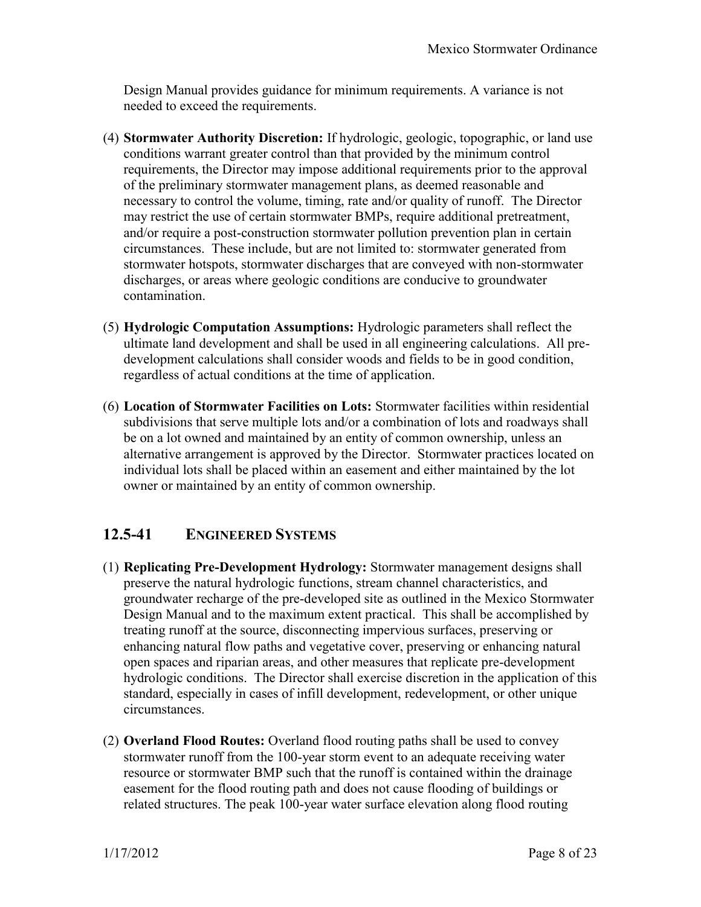Design Manual provides guidance for minimum requirements. A variance is not needed to exceed the requirements.

- (4) **Stormwater Authority Discretion:** If hydrologic, geologic, topographic, or land use conditions warrant greater control than that provided by the minimum control requirements, the Director may impose additional requirements prior to the approval of the preliminary stormwater management plans, as deemed reasonable and necessary to control the volume, timing, rate and/or quality of runoff. The Director may restrict the use of certain stormwater BMPs, require additional pretreatment, and/or require a post-construction stormwater pollution prevention plan in certain circumstances. These include, but are not limited to: stormwater generated from stormwater hotspots, stormwater discharges that are conveyed with non-stormwater discharges, or areas where geologic conditions are conducive to groundwater contamination.
- (5) **Hydrologic Computation Assumptions:** Hydrologic parameters shall reflect the ultimate land development and shall be used in all engineering calculations. All predevelopment calculations shall consider woods and fields to be in good condition, regardless of actual conditions at the time of application.
- (6) **Location of Stormwater Facilities on Lots:** Stormwater facilities within residential subdivisions that serve multiple lots and/or a combination of lots and roadways shall be on a lot owned and maintained by an entity of common ownership, unless an alternative arrangement is approved by the Director. Stormwater practices located on individual lots shall be placed within an easement and either maintained by the lot owner or maintained by an entity of common ownership.

# **12.5-41 ENGINEERED SYSTEMS**

- (1) **Replicating Pre-Development Hydrology:** Stormwater management designs shall preserve the natural hydrologic functions, stream channel characteristics, and groundwater recharge of the pre-developed site as outlined in the Mexico Stormwater Design Manual and to the maximum extent practical. This shall be accomplished by treating runoff at the source, disconnecting impervious surfaces, preserving or enhancing natural flow paths and vegetative cover, preserving or enhancing natural open spaces and riparian areas, and other measures that replicate pre-development hydrologic conditions. The Director shall exercise discretion in the application of this standard, especially in cases of infill development, redevelopment, or other unique circumstances.
- (2) **Overland Flood Routes:** Overland flood routing paths shall be used to convey stormwater runoff from the 100-year storm event to an adequate receiving water resource or stormwater BMP such that the runoff is contained within the drainage easement for the flood routing path and does not cause flooding of buildings or related structures. The peak 100-year water surface elevation along flood routing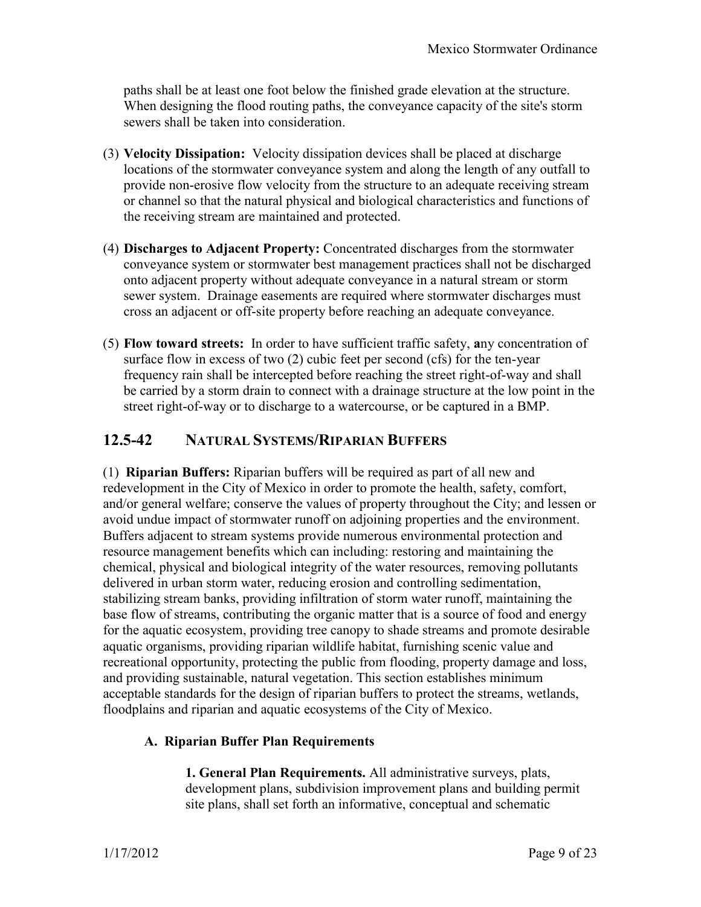paths shall be at least one foot below the finished grade elevation at the structure. When designing the flood routing paths, the conveyance capacity of the site's storm sewers shall be taken into consideration.

- (3) **Velocity Dissipation:** Velocity dissipation devices shall be placed at discharge locations of the stormwater conveyance system and along the length of any outfall to provide non-erosive flow velocity from the structure to an adequate receiving stream or channel so that the natural physical and biological characteristics and functions of the receiving stream are maintained and protected.
- (4) **Discharges to Adjacent Property:** Concentrated discharges from the stormwater conveyance system or stormwater best management practices shall not be discharged onto adjacent property without adequate conveyance in a natural stream or storm sewer system. Drainage easements are required where stormwater discharges must cross an adjacent or off-site property before reaching an adequate conveyance.
- (5) **Flow toward streets:** In order to have sufficient traffic safety, **a**ny concentration of surface flow in excess of two (2) cubic feet per second (cfs) for the ten-year frequency rain shall be intercepted before reaching the street right-of-way and shall be carried by a storm drain to connect with a drainage structure at the low point in the street right-of-way or to discharge to a watercourse, or be captured in a BMP.

## **12.5-42 NATURAL SYSTEMS/RIPARIAN BUFFERS**

(1) **Riparian Buffers:** Riparian buffers will be required as part of all new and redevelopment in the City of Mexico in order to promote the health, safety, comfort, and/or general welfare; conserve the values of property throughout the City; and lessen or avoid undue impact of stormwater runoff on adjoining properties and the environment. Buffers adjacent to stream systems provide numerous environmental protection and resource management benefits which can including: restoring and maintaining the chemical, physical and biological integrity of the water resources, removing pollutants delivered in urban storm water, reducing erosion and controlling sedimentation, stabilizing stream banks, providing infiltration of storm water runoff, maintaining the base flow of streams, contributing the organic matter that is a source of food and energy for the aquatic ecosystem, providing tree canopy to shade streams and promote desirable aquatic organisms, providing riparian wildlife habitat, furnishing scenic value and recreational opportunity, protecting the public from flooding, property damage and loss, and providing sustainable, natural vegetation. This section establishes minimum acceptable standards for the design of riparian buffers to protect the streams, wetlands, floodplains and riparian and aquatic ecosystems of the City of Mexico.

#### **A. Riparian Buffer Plan Requirements**

**1. General Plan Requirements.** All administrative surveys, plats, development plans, subdivision improvement plans and building permit site plans, shall set forth an informative, conceptual and schematic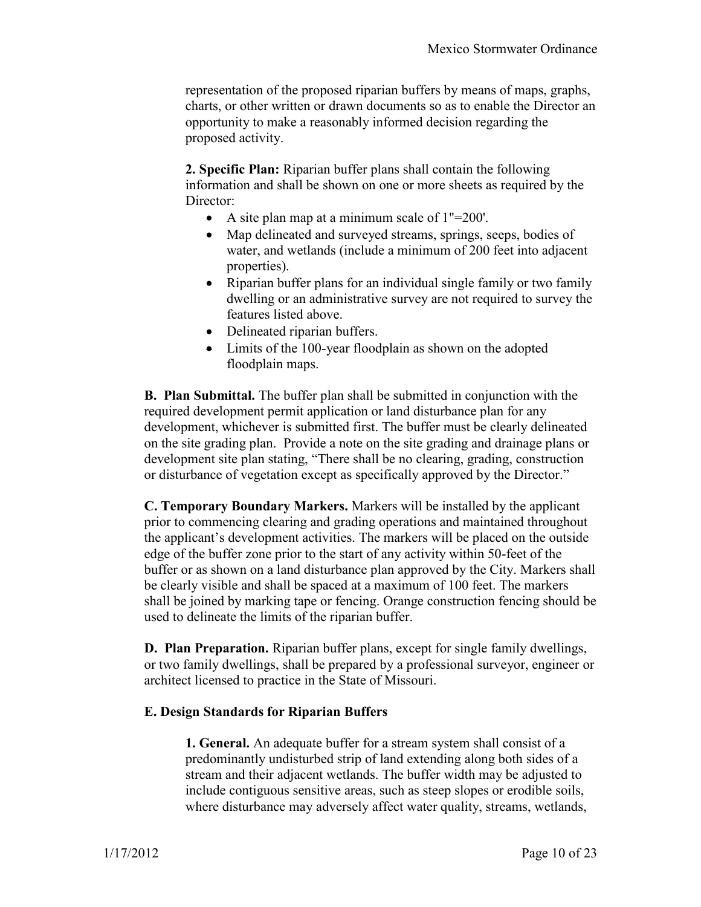representation of the proposed riparian buffers by means of maps, graphs, charts, or other written or drawn documents so as to enable the Director an opportunity to make a reasonably informed decision regarding the proposed activity.

**2. Specific Plan:** Riparian buffer plans shall contain the following information and shall be shown on one or more sheets as required by the Director:

- A site plan map at a minimum scale of 1"=200'.
- Map delineated and surveyed streams, springs, seeps, bodies of water, and wetlands (include a minimum of 200 feet into adjacent properties).
- Riparian buffer plans for an individual single family or two family dwelling or an administrative survey are not required to survey the features listed above.
- Delineated riparian buffers.
- Limits of the 100-year floodplain as shown on the adopted floodplain maps.

**B. Plan Submittal.** The buffer plan shall be submitted in conjunction with the required development permit application or land disturbance plan for any development, whichever is submitted first. The buffer must be clearly delineated on the site grading plan. Provide a note on the site grading and drainage plans or development site plan stating, "There shall be no clearing, grading, construction or disturbance of vegetation except as specifically approved by the Director."

**C. Temporary Boundary Markers.** Markers will be installed by the applicant prior to commencing clearing and grading operations and maintained throughout the applicant's development activities. The markers will be placed on the outside edge of the buffer zone prior to the start of any activity within 50-feet of the buffer or as shown on a land disturbance plan approved by the City. Markers shall be clearly visible and shall be spaced at a maximum of 100 feet. The markers shall be joined by marking tape or fencing. Orange construction fencing should be used to delineate the limits of the riparian buffer.

**D. Plan Preparation.** Riparian buffer plans, except for single family dwellings, or two family dwellings, shall be prepared by a professional surveyor, engineer or architect licensed to practice in the State of Missouri.

#### **E. Design Standards for Riparian Buffers**

**1. General.** An adequate buffer for a stream system shall consist of a predominantly undisturbed strip of land extending along both sides of a stream and their adjacent wetlands. The buffer width may be adjusted to include contiguous sensitive areas, such as steep slopes or erodible soils, where disturbance may adversely affect water quality, streams, wetlands,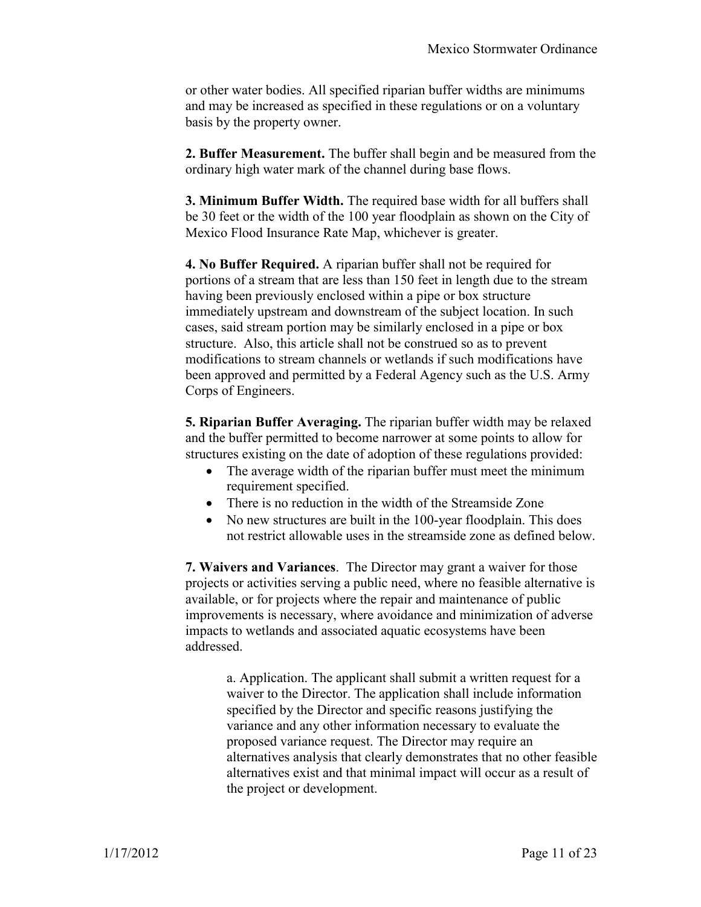or other water bodies. All specified riparian buffer widths are minimums and may be increased as specified in these regulations or on a voluntary basis by the property owner.

**2. Buffer Measurement.** The buffer shall begin and be measured from the ordinary high water mark of the channel during base flows.

**3. Minimum Buffer Width.** The required base width for all buffers shall be 30 feet or the width of the 100 year floodplain as shown on the City of Mexico Flood Insurance Rate Map, whichever is greater.

**4. No Buffer Required.** A riparian buffer shall not be required for portions of a stream that are less than 150 feet in length due to the stream having been previously enclosed within a pipe or box structure immediately upstream and downstream of the subject location. In such cases, said stream portion may be similarly enclosed in a pipe or box structure. Also, this article shall not be construed so as to prevent modifications to stream channels or wetlands if such modifications have been approved and permitted by a Federal Agency such as the U.S. Army Corps of Engineers.

**5. Riparian Buffer Averaging.** The riparian buffer width may be relaxed and the buffer permitted to become narrower at some points to allow for structures existing on the date of adoption of these regulations provided:

- The average width of the riparian buffer must meet the minimum requirement specified.
- There is no reduction in the width of the Streamside Zone
- No new structures are built in the 100-year floodplain. This does not restrict allowable uses in the streamside zone as defined below.

**7. Waivers and Variances**. The Director may grant a waiver for those projects or activities serving a public need, where no feasible alternative is available, or for projects where the repair and maintenance of public improvements is necessary, where avoidance and minimization of adverse impacts to wetlands and associated aquatic ecosystems have been addressed.

> a. Application. The applicant shall submit a written request for a waiver to the Director. The application shall include information specified by the Director and specific reasons justifying the variance and any other information necessary to evaluate the proposed variance request. The Director may require an alternatives analysis that clearly demonstrates that no other feasible alternatives exist and that minimal impact will occur as a result of the project or development.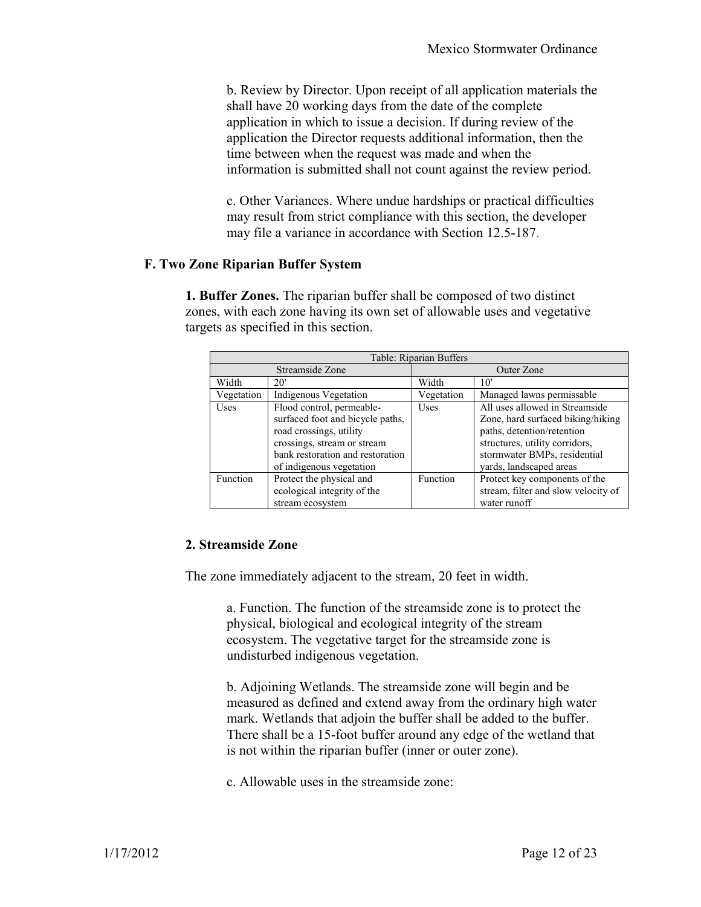b. Review by Director. Upon receipt of all application materials the shall have 20 working days from the date of the complete application in which to issue a decision. If during review of the application the Director requests additional information, then the time between when the request was made and when the information is submitted shall not count against the review period.

c. Other Variances. Where undue hardships or practical difficulties may result from strict compliance with this section, the developer may file a variance in accordance with Section 12.5-187.

#### **F. Two Zone Riparian Buffer System**

**1. Buffer Zones.** The riparian buffer shall be composed of two distinct zones, with each zone having its own set of allowable uses and vegetative targets as specified in this section.

| Table: Riparian Buffers |                                                                                                                                                                                         |             |                                                                                                                                                                                                |
|-------------------------|-----------------------------------------------------------------------------------------------------------------------------------------------------------------------------------------|-------------|------------------------------------------------------------------------------------------------------------------------------------------------------------------------------------------------|
| Streamside Zone         |                                                                                                                                                                                         | Outer Zone  |                                                                                                                                                                                                |
| Width                   | 20'                                                                                                                                                                                     | Width       | 10'                                                                                                                                                                                            |
| Vegetation              | Indigenous Vegetation                                                                                                                                                                   | Vegetation  | Managed lawns permissable                                                                                                                                                                      |
| <b>Uses</b>             | Flood control, permeable-<br>surfaced foot and bicycle paths,<br>road crossings, utility<br>crossings, stream or stream<br>bank restoration and restoration<br>of indigenous vegetation | <b>Uses</b> | All uses allowed in Streamside<br>Zone, hard surfaced biking/hiking<br>paths, detention/retention<br>structures, utility corridors,<br>stormwater BMPs, residential<br>yards, landscaped areas |
| Function                | Protect the physical and<br>ecological integrity of the<br>stream ecosystem                                                                                                             | Function    | Protect key components of the<br>stream, filter and slow velocity of<br>water runoff                                                                                                           |

#### **2. Streamside Zone**

The zone immediately adjacent to the stream, 20 feet in width.

a. Function. The function of the streamside zone is to protect the physical, biological and ecological integrity of the stream ecosystem. The vegetative target for the streamside zone is undisturbed indigenous vegetation.

b. Adjoining Wetlands. The streamside zone will begin and be measured as defined and extend away from the ordinary high water mark. Wetlands that adjoin the buffer shall be added to the buffer. There shall be a 15-foot buffer around any edge of the wetland that is not within the riparian buffer (inner or outer zone).

c. Allowable uses in the streamside zone: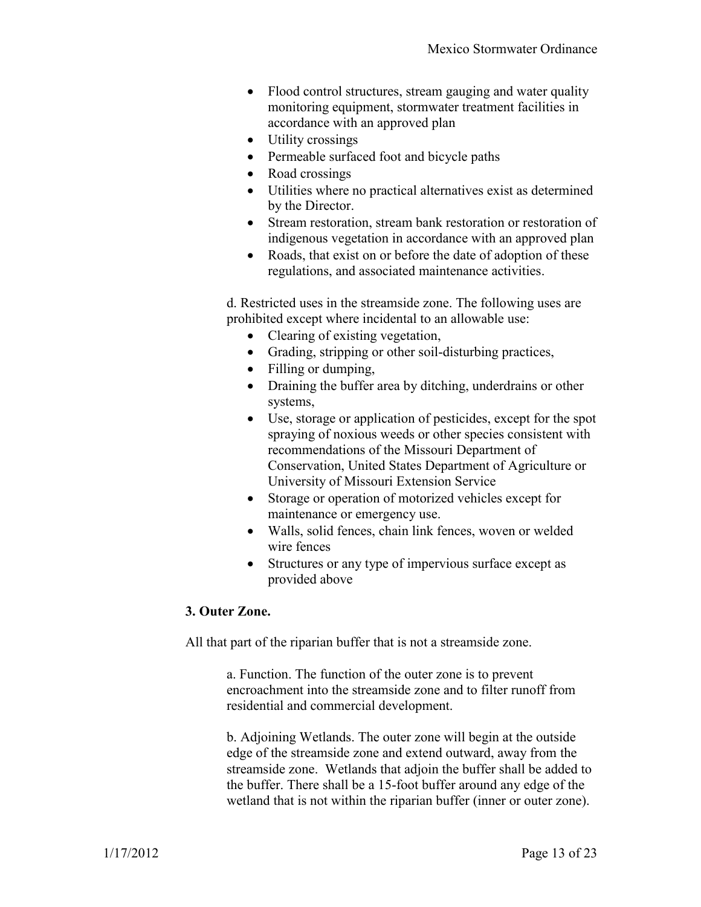- Flood control structures, stream gauging and water quality monitoring equipment, stormwater treatment facilities in accordance with an approved plan
- Utility crossings
- Permeable surfaced foot and bicycle paths
- Road crossings
- Utilities where no practical alternatives exist as determined by the Director.
- Stream restoration, stream bank restoration or restoration of indigenous vegetation in accordance with an approved plan
- Roads, that exist on or before the date of adoption of these regulations, and associated maintenance activities.

d. Restricted uses in the streamside zone. The following uses are prohibited except where incidental to an allowable use:

- Clearing of existing vegetation,
- Grading, stripping or other soil-disturbing practices,
- Filling or dumping,
- Draining the buffer area by ditching, underdrains or other systems,
- Use, storage or application of pesticides, except for the spot spraying of noxious weeds or other species consistent with recommendations of the Missouri Department of Conservation, United States Department of Agriculture or University of Missouri Extension Service
- Storage or operation of motorized vehicles except for maintenance or emergency use.
- Walls, solid fences, chain link fences, woven or welded wire fences
- Structures or any type of impervious surface except as provided above

#### **3. Outer Zone.**

All that part of the riparian buffer that is not a streamside zone.

a. Function. The function of the outer zone is to prevent encroachment into the streamside zone and to filter runoff from residential and commercial development.

b. Adjoining Wetlands. The outer zone will begin at the outside edge of the streamside zone and extend outward, away from the streamside zone. Wetlands that adjoin the buffer shall be added to the buffer. There shall be a 15-foot buffer around any edge of the wetland that is not within the riparian buffer (inner or outer zone).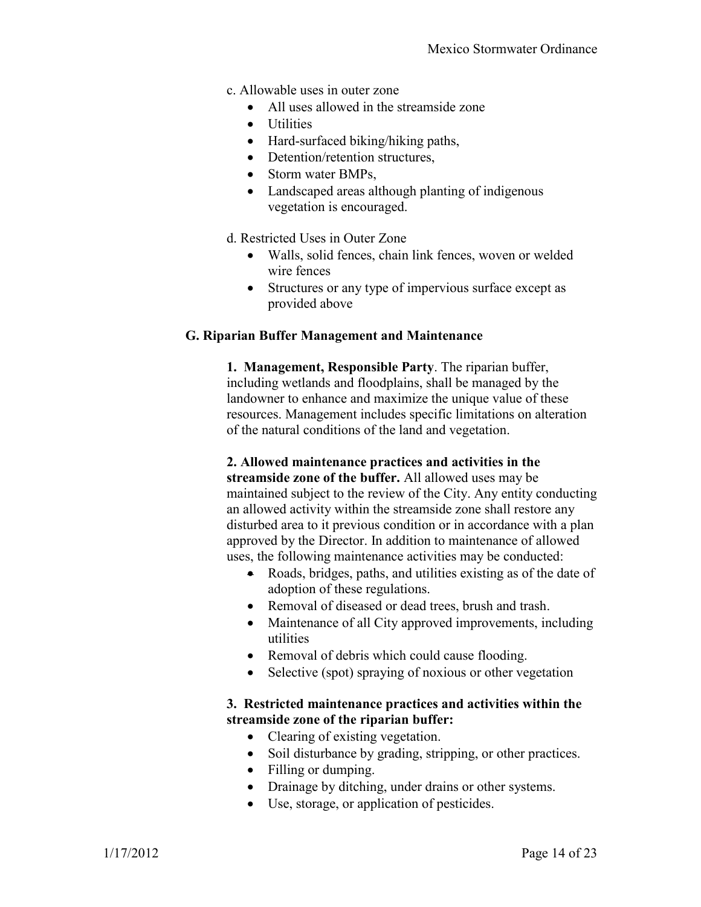- c. Allowable uses in outer zone
	- All uses allowed in the streamside zone
	- Utilities
	- Hard-surfaced biking/hiking paths,
	- Detention/retention structures,
	- Storm water BMPs.
	- Landscaped areas although planting of indigenous vegetation is encouraged.
- d. Restricted Uses in Outer Zone
	- Walls, solid fences, chain link fences, woven or welded wire fences
	- Structures or any type of impervious surface except as provided above

#### **G. Riparian Buffer Management and Maintenance**

**1. Management, Responsible Party**. The riparian buffer, including wetlands and floodplains, shall be managed by the landowner to enhance and maximize the unique value of these resources. Management includes specific limitations on alteration of the natural conditions of the land and vegetation.

## **2. Allowed maintenance practices and activities in the**

**streamside zone of the buffer.** All allowed uses may be maintained subject to the review of the City. Any entity conducting an allowed activity within the streamside zone shall restore any disturbed area to it previous condition or in accordance with a plan approved by the Director. In addition to maintenance of allowed uses, the following maintenance activities may be conducted:

- Roads, bridges, paths, and utilities existing as of the date of adoption of these regulations.
- Removal of diseased or dead trees, brush and trash.
- Maintenance of all City approved improvements, including utilities
- Removal of debris which could cause flooding.
- Selective (spot) spraying of noxious or other vegetation

#### **3. Restricted maintenance practices and activities within the streamside zone of the riparian buffer:**

- Clearing of existing vegetation.
- Soil disturbance by grading, stripping, or other practices.
- Filling or dumping.
- Drainage by ditching, under drains or other systems.
- Use, storage, or application of pesticides.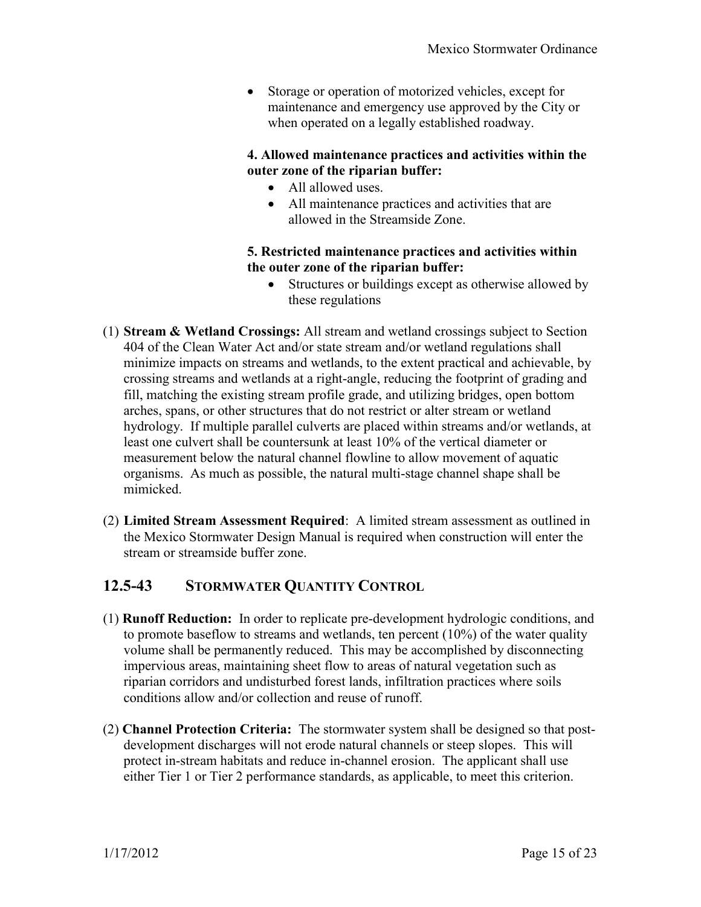Storage or operation of motorized vehicles, except for maintenance and emergency use approved by the City or when operated on a legally established roadway.

#### **4. Allowed maintenance practices and activities within the outer zone of the riparian buffer:**

- All allowed uses.
- All maintenance practices and activities that are allowed in the Streamside Zone.

#### **5. Restricted maintenance practices and activities within the outer zone of the riparian buffer:**

- Structures or buildings except as otherwise allowed by these regulations
- (1) **Stream & Wetland Crossings:** All stream and wetland crossings subject to Section 404 of the Clean Water Act and/or state stream and/or wetland regulations shall minimize impacts on streams and wetlands, to the extent practical and achievable, by crossing streams and wetlands at a right-angle, reducing the footprint of grading and fill, matching the existing stream profile grade, and utilizing bridges, open bottom arches, spans, or other structures that do not restrict or alter stream or wetland hydrology. If multiple parallel culverts are placed within streams and/or wetlands, at least one culvert shall be countersunk at least 10% of the vertical diameter or measurement below the natural channel flowline to allow movement of aquatic organisms. As much as possible, the natural multi-stage channel shape shall be mimicked.
- (2) **Limited Stream Assessment Required**: A limited stream assessment as outlined in the Mexico Stormwater Design Manual is required when construction will enter the stream or streamside buffer zone.

# **12.5-43 STORMWATER QUANTITY CONTROL**

- (1) **Runoff Reduction:** In order to replicate pre-development hydrologic conditions, and to promote baseflow to streams and wetlands, ten percent (10%) of the water quality volume shall be permanently reduced. This may be accomplished by disconnecting impervious areas, maintaining sheet flow to areas of natural vegetation such as riparian corridors and undisturbed forest lands, infiltration practices where soils conditions allow and/or collection and reuse of runoff.
- (2) **Channel Protection Criteria:** The stormwater system shall be designed so that postdevelopment discharges will not erode natural channels or steep slopes. This will protect in-stream habitats and reduce in-channel erosion. The applicant shall use either Tier 1 or Tier 2 performance standards, as applicable, to meet this criterion.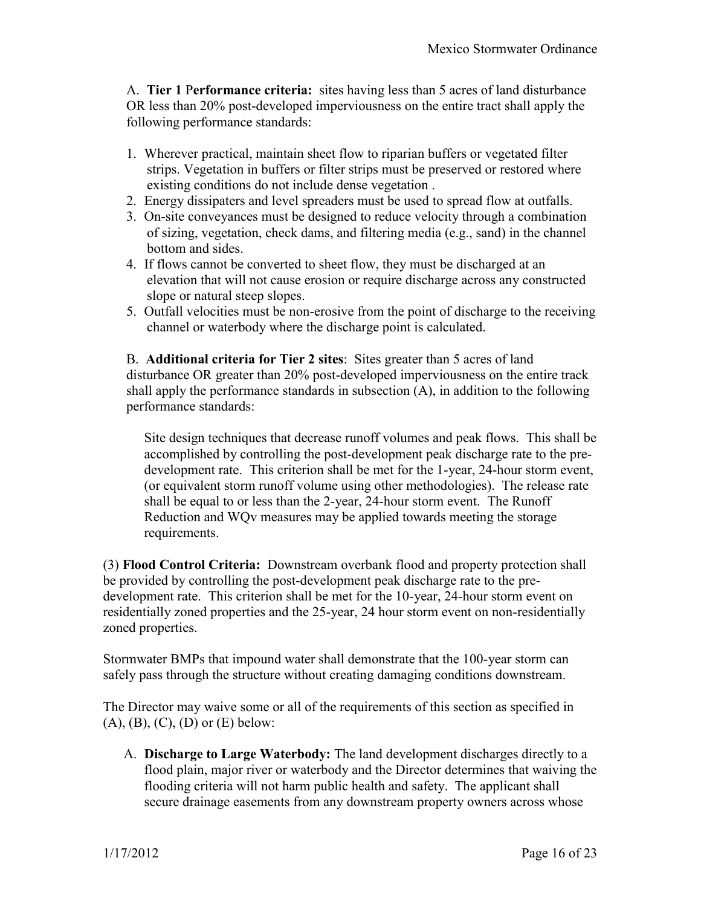A. **Tier 1** P**erformance criteria:** sites having less than 5 acres of land disturbance OR less than 20% post-developed imperviousness on the entire tract shall apply the following performance standards:

- 1. Wherever practical, maintain sheet flow to riparian buffers or vegetated filter strips. Vegetation in buffers or filter strips must be preserved or restored where existing conditions do not include dense vegetation .
- 2. Energy dissipaters and level spreaders must be used to spread flow at outfalls.
- 3. On-site conveyances must be designed to reduce velocity through a combination of sizing, vegetation, check dams, and filtering media (e.g., sand) in the channel bottom and sides.
- 4. If flows cannot be converted to sheet flow, they must be discharged at an elevation that will not cause erosion or require discharge across any constructed slope or natural steep slopes.
- 5. Outfall velocities must be non-erosive from the point of discharge to the receiving channel or waterbody where the discharge point is calculated.

B. **Additional criteria for Tier 2 sites**: Sites greater than 5 acres of land disturbance OR greater than 20% post-developed imperviousness on the entire track shall apply the performance standards in subsection (A), in addition to the following performance standards:

Site design techniques that decrease runoff volumes and peak flows. This shall be accomplished by controlling the post-development peak discharge rate to the predevelopment rate. This criterion shall be met for the 1-year, 24-hour storm event, (or equivalent storm runoff volume using other methodologies). The release rate shall be equal to or less than the 2-year, 24-hour storm event. The Runoff Reduction and WQv measures may be applied towards meeting the storage requirements.

(3) **Flood Control Criteria:** Downstream overbank flood and property protection shall be provided by controlling the post-development peak discharge rate to the predevelopment rate. This criterion shall be met for the 10-year, 24-hour storm event on residentially zoned properties and the 25-year, 24 hour storm event on non-residentially zoned properties.

Stormwater BMPs that impound water shall demonstrate that the 100-year storm can safely pass through the structure without creating damaging conditions downstream.

The Director may waive some or all of the requirements of this section as specified in  $(A)$ ,  $(B)$ ,  $(C)$ ,  $(D)$  or  $(E)$  below:

A. **Discharge to Large Waterbody:** The land development discharges directly to a flood plain, major river or waterbody and the Director determines that waiving the flooding criteria will not harm public health and safety. The applicant shall secure drainage easements from any downstream property owners across whose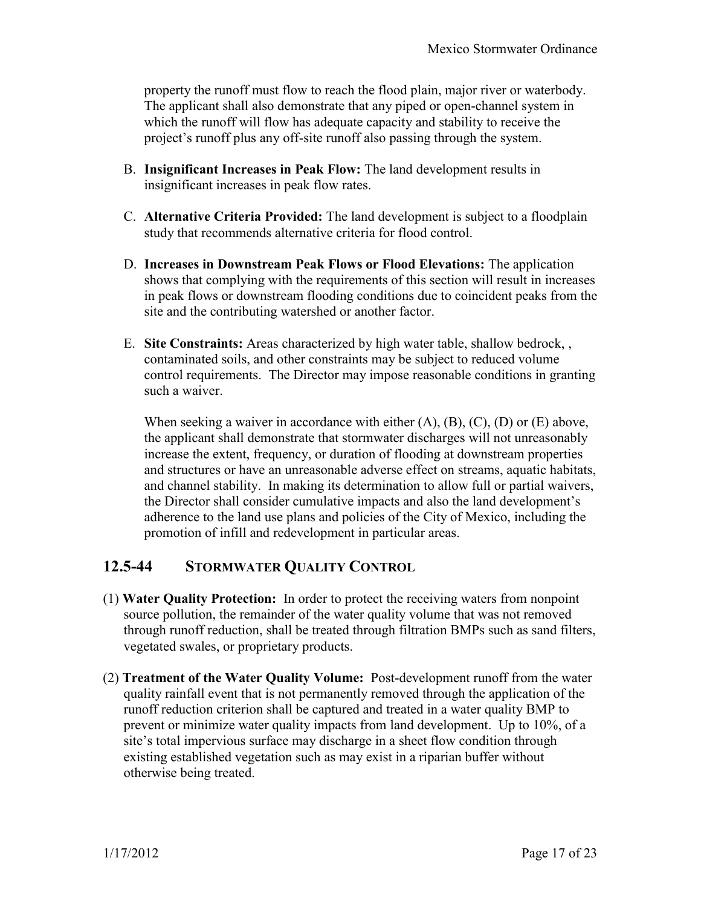property the runoff must flow to reach the flood plain, major river or waterbody. The applicant shall also demonstrate that any piped or open-channel system in which the runoff will flow has adequate capacity and stability to receive the project's runoff plus any off-site runoff also passing through the system.

- B. **Insignificant Increases in Peak Flow:** The land development results in insignificant increases in peak flow rates.
- C. **Alternative Criteria Provided:** The land development is subject to a floodplain study that recommends alternative criteria for flood control.
- D. **Increases in Downstream Peak Flows or Flood Elevations:** The application shows that complying with the requirements of this section will result in increases in peak flows or downstream flooding conditions due to coincident peaks from the site and the contributing watershed or another factor.
- E. **Site Constraints:** Areas characterized by high water table, shallow bedrock, , contaminated soils, and other constraints may be subject to reduced volume control requirements. The Director may impose reasonable conditions in granting such a waiver.

When seeking a waiver in accordance with either  $(A)$ ,  $(B)$ ,  $(C)$ ,  $(D)$  or  $(E)$  above, the applicant shall demonstrate that stormwater discharges will not unreasonably increase the extent, frequency, or duration of flooding at downstream properties and structures or have an unreasonable adverse effect on streams, aquatic habitats, and channel stability. In making its determination to allow full or partial waivers, the Director shall consider cumulative impacts and also the land development's adherence to the land use plans and policies of the City of Mexico, including the promotion of infill and redevelopment in particular areas.

# **12.5-44 STORMWATER QUALITY CONTROL**

- (1) **Water Quality Protection:** In order to protect the receiving waters from nonpoint source pollution, the remainder of the water quality volume that was not removed through runoff reduction, shall be treated through filtration BMPs such as sand filters, vegetated swales, or proprietary products.
- (2) **Treatment of the Water Quality Volume:** Post-development runoff from the water quality rainfall event that is not permanently removed through the application of the runoff reduction criterion shall be captured and treated in a water quality BMP to prevent or minimize water quality impacts from land development. Up to 10%, of a site's total impervious surface may discharge in a sheet flow condition through existing established vegetation such as may exist in a riparian buffer without otherwise being treated.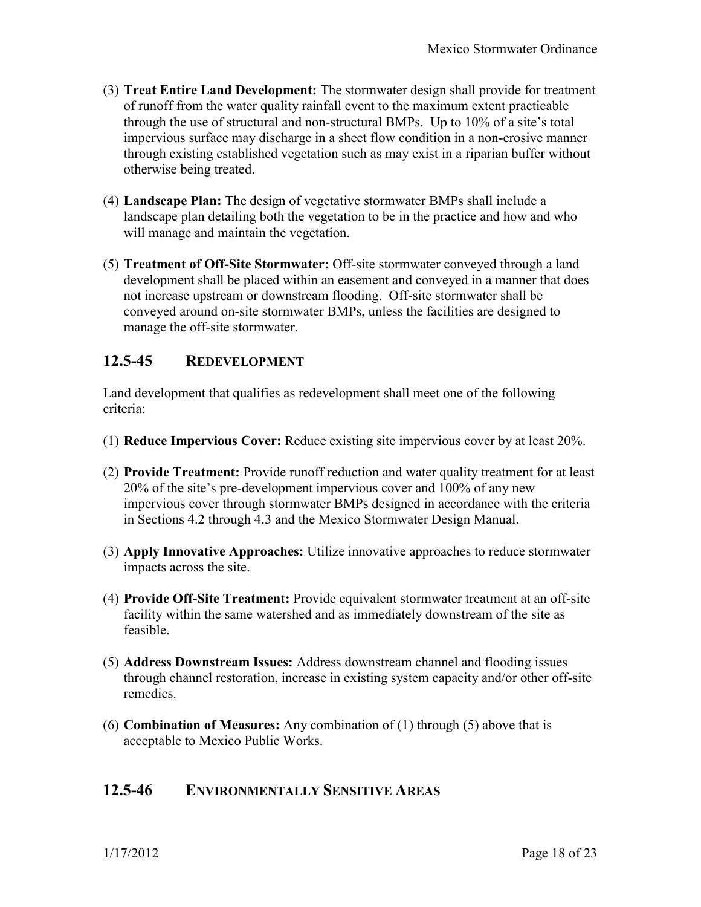- (3) **Treat Entire Land Development:** The stormwater design shall provide for treatment of runoff from the water quality rainfall event to the maximum extent practicable through the use of structural and non-structural BMPs. Up to 10% of a site's total impervious surface may discharge in a sheet flow condition in a non-erosive manner through existing established vegetation such as may exist in a riparian buffer without otherwise being treated.
- (4) **Landscape Plan:** The design of vegetative stormwater BMPs shall include a landscape plan detailing both the vegetation to be in the practice and how and who will manage and maintain the vegetation.
- (5) **Treatment of Off-Site Stormwater:** Off-site stormwater conveyed through a land development shall be placed within an easement and conveyed in a manner that does not increase upstream or downstream flooding. Off-site stormwater shall be conveyed around on-site stormwater BMPs, unless the facilities are designed to manage the off-site stormwater.

### **12.5-45 REDEVELOPMENT**

Land development that qualifies as redevelopment shall meet one of the following criteria:

- (1) **Reduce Impervious Cover:** Reduce existing site impervious cover by at least 20%.
- (2) **Provide Treatment:** Provide runoff reduction and water quality treatment for at least 20% of the site's pre-development impervious cover and 100% of any new impervious cover through stormwater BMPs designed in accordance with the criteria in Sections 4.2 through 4.3 and the Mexico Stormwater Design Manual.
- (3) **Apply Innovative Approaches:** Utilize innovative approaches to reduce stormwater impacts across the site.
- (4) **Provide Off-Site Treatment:** Provide equivalent stormwater treatment at an off-site facility within the same watershed and as immediately downstream of the site as feasible.
- (5) **Address Downstream Issues:** Address downstream channel and flooding issues through channel restoration, increase in existing system capacity and/or other off-site remedies.
- (6) **Combination of Measures:** Any combination of (1) through (5) above that is acceptable to Mexico Public Works.

### **12.5-46 ENVIRONMENTALLY SENSITIVE AREAS**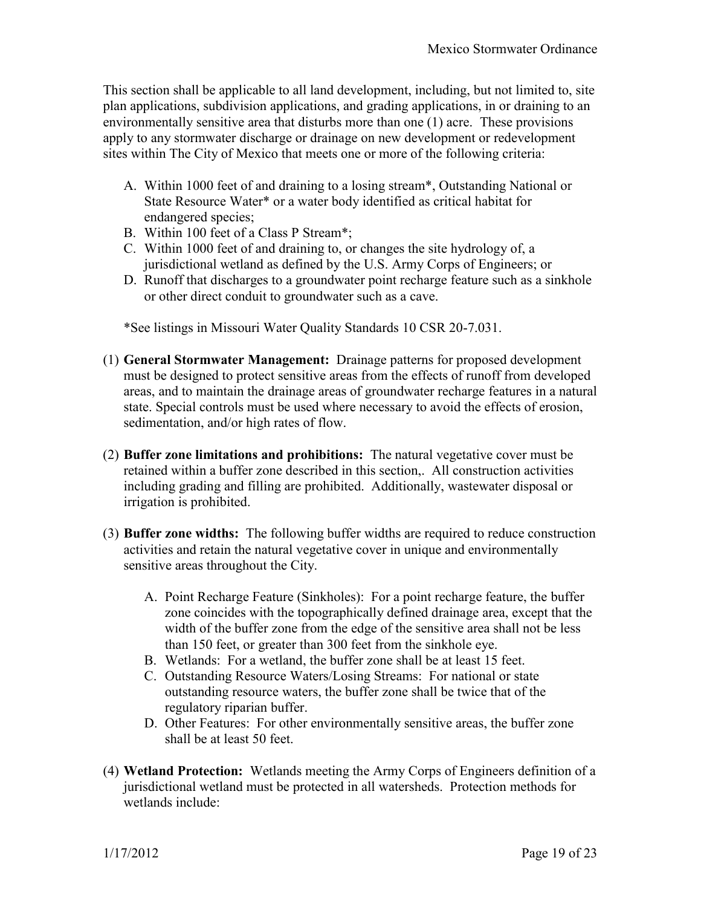This section shall be applicable to all land development, including, but not limited to, site plan applications, subdivision applications, and grading applications, in or draining to an environmentally sensitive area that disturbs more than one (1) acre. These provisions apply to any stormwater discharge or drainage on new development or redevelopment sites within The City of Mexico that meets one or more of the following criteria:

- A. Within 1000 feet of and draining to a losing stream\*, Outstanding National or State Resource Water\* or a water body identified as critical habitat for endangered species;
- B. Within 100 feet of a Class P Stream\*;
- C. Within 1000 feet of and draining to, or changes the site hydrology of, a jurisdictional wetland as defined by the U.S. Army Corps of Engineers; or
- D. Runoff that discharges to a groundwater point recharge feature such as a sinkhole or other direct conduit to groundwater such as a cave.

\*See listings in Missouri Water Quality Standards 10 CSR 20-7.031.

- (1) **General Stormwater Management:** Drainage patterns for proposed development must be designed to protect sensitive areas from the effects of runoff from developed areas, and to maintain the drainage areas of groundwater recharge features in a natural state. Special controls must be used where necessary to avoid the effects of erosion, sedimentation, and/or high rates of flow.
- (2) **Buffer zone limitations and prohibitions:** The natural vegetative cover must be retained within a buffer zone described in this section,. All construction activities including grading and filling are prohibited. Additionally, wastewater disposal or irrigation is prohibited.
- (3) **Buffer zone widths:** The following buffer widths are required to reduce construction activities and retain the natural vegetative cover in unique and environmentally sensitive areas throughout the City.
	- A. Point Recharge Feature (Sinkholes): For a point recharge feature, the buffer zone coincides with the topographically defined drainage area, except that the width of the buffer zone from the edge of the sensitive area shall not be less than 150 feet, or greater than 300 feet from the sinkhole eye.
	- B. Wetlands: For a wetland, the buffer zone shall be at least 15 feet.
	- C. Outstanding Resource Waters/Losing Streams: For national or state outstanding resource waters, the buffer zone shall be twice that of the regulatory riparian buffer.
	- D. Other Features: For other environmentally sensitive areas, the buffer zone shall be at least 50 feet.
- (4) **Wetland Protection:** Wetlands meeting the Army Corps of Engineers definition of a jurisdictional wetland must be protected in all watersheds. Protection methods for wetlands include: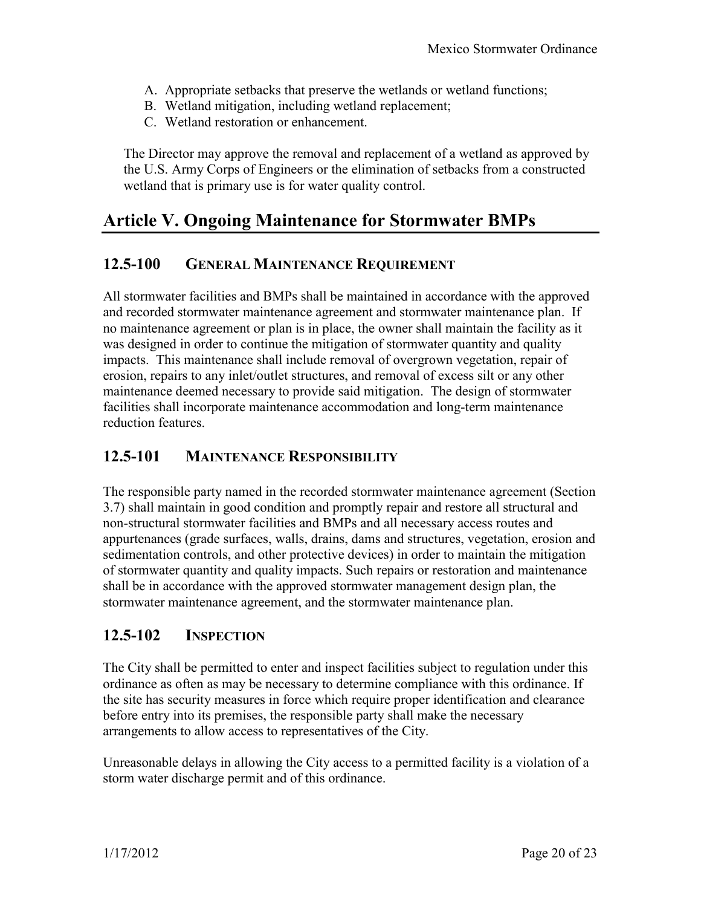- A. Appropriate setbacks that preserve the wetlands or wetland functions;
- B. Wetland mitigation, including wetland replacement;
- C. Wetland restoration or enhancement.

The Director may approve the removal and replacement of a wetland as approved by the U.S. Army Corps of Engineers or the elimination of setbacks from a constructed wetland that is primary use is for water quality control.

# **Article V. Ongoing Maintenance for Stormwater BMPs**

## **12.5-100 GENERAL MAINTENANCE REQUIREMENT**

All stormwater facilities and BMPs shall be maintained in accordance with the approved and recorded stormwater maintenance agreement and stormwater maintenance plan. If no maintenance agreement or plan is in place, the owner shall maintain the facility as it was designed in order to continue the mitigation of stormwater quantity and quality impacts. This maintenance shall include removal of overgrown vegetation, repair of erosion, repairs to any inlet/outlet structures, and removal of excess silt or any other maintenance deemed necessary to provide said mitigation. The design of stormwater facilities shall incorporate maintenance accommodation and long-term maintenance reduction features.

#### **12.5-101 MAINTENANCE RESPONSIBILITY**

The responsible party named in the recorded stormwater maintenance agreement (Section 3.7) shall maintain in good condition and promptly repair and restore all structural and non-structural stormwater facilities and BMPs and all necessary access routes and appurtenances (grade surfaces, walls, drains, dams and structures, vegetation, erosion and sedimentation controls, and other protective devices) in order to maintain the mitigation of stormwater quantity and quality impacts. Such repairs or restoration and maintenance shall be in accordance with the approved stormwater management design plan, the stormwater maintenance agreement, and the stormwater maintenance plan.

### **12.5-102 INSPECTION**

The City shall be permitted to enter and inspect facilities subject to regulation under this ordinance as often as may be necessary to determine compliance with this ordinance. If the site has security measures in force which require proper identification and clearance before entry into its premises, the responsible party shall make the necessary arrangements to allow access to representatives of the City.

Unreasonable delays in allowing the City access to a permitted facility is a violation of a storm water discharge permit and of this ordinance.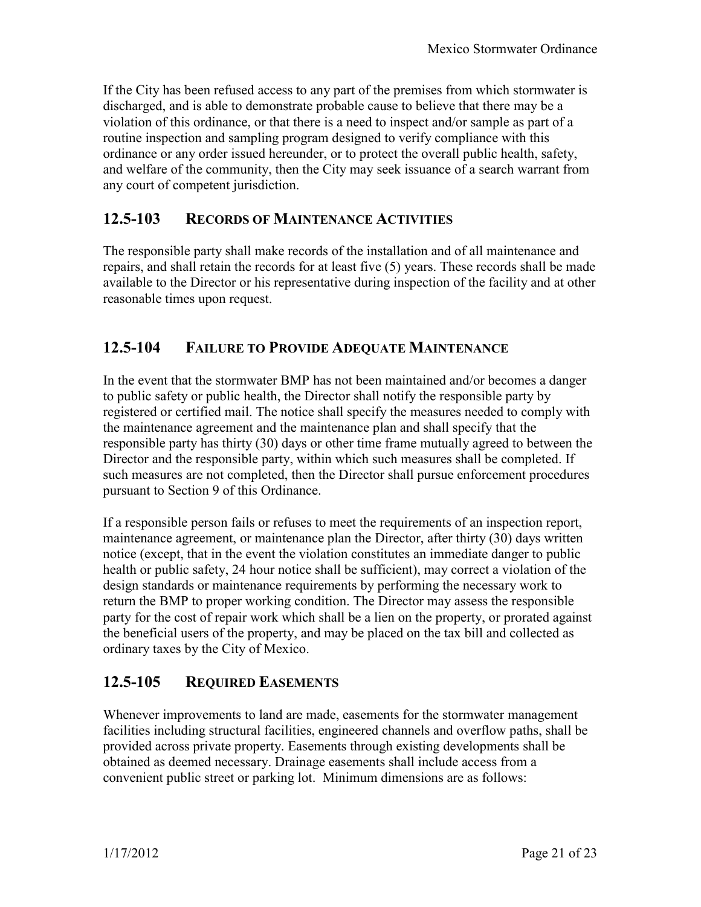If the City has been refused access to any part of the premises from which stormwater is discharged, and is able to demonstrate probable cause to believe that there may be a violation of this ordinance, or that there is a need to inspect and/or sample as part of a routine inspection and sampling program designed to verify compliance with this ordinance or any order issued hereunder, or to protect the overall public health, safety, and welfare of the community, then the City may seek issuance of a search warrant from any court of competent jurisdiction.

#### **12.5-103 RECORDS OF MAINTENANCE ACTIVITIES**

The responsible party shall make records of the installation and of all maintenance and repairs, and shall retain the records for at least five (5) years. These records shall be made available to the Director or his representative during inspection of the facility and at other reasonable times upon request.

#### **12.5-104 FAILURE TO PROVIDE ADEQUATE MAINTENANCE**

In the event that the stormwater BMP has not been maintained and/or becomes a danger to public safety or public health, the Director shall notify the responsible party by registered or certified mail. The notice shall specify the measures needed to comply with the maintenance agreement and the maintenance plan and shall specify that the responsible party has thirty (30) days or other time frame mutually agreed to between the Director and the responsible party, within which such measures shall be completed. If such measures are not completed, then the Director shall pursue enforcement procedures pursuant to Section 9 of this Ordinance.

If a responsible person fails or refuses to meet the requirements of an inspection report, maintenance agreement, or maintenance plan the Director, after thirty (30) days written notice (except, that in the event the violation constitutes an immediate danger to public health or public safety, 24 hour notice shall be sufficient), may correct a violation of the design standards or maintenance requirements by performing the necessary work to return the BMP to proper working condition. The Director may assess the responsible party for the cost of repair work which shall be a lien on the property, or prorated against the beneficial users of the property, and may be placed on the tax bill and collected as ordinary taxes by the City of Mexico.

### **12.5-105 REQUIRED EASEMENTS**

Whenever improvements to land are made, easements for the stormwater management facilities including structural facilities, engineered channels and overflow paths, shall be provided across private property. Easements through existing developments shall be obtained as deemed necessary. Drainage easements shall include access from a convenient public street or parking lot. Minimum dimensions are as follows: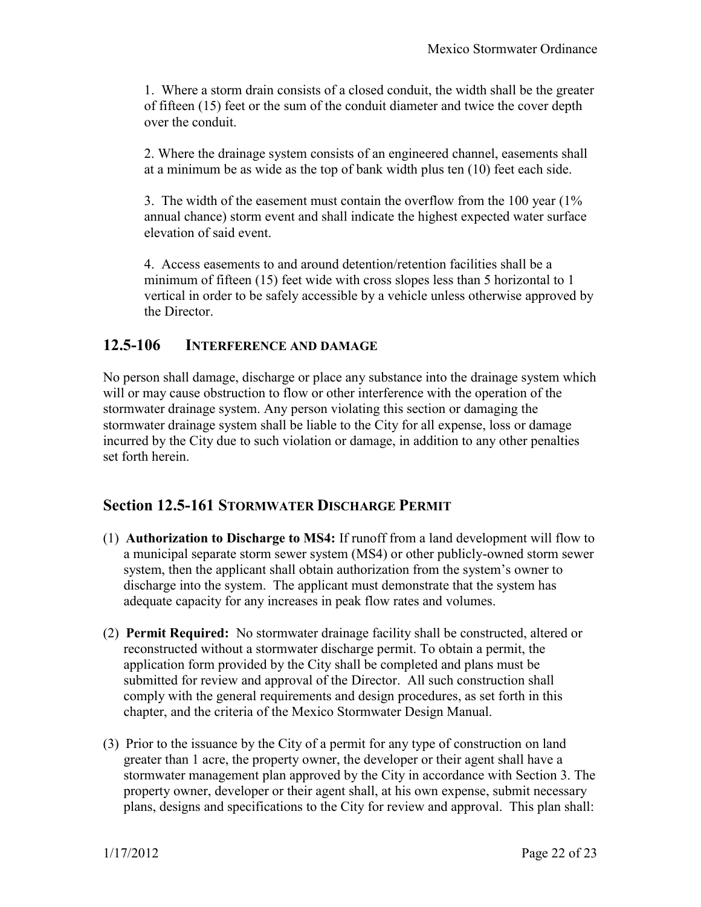1. Where a storm drain consists of a closed conduit, the width shall be the greater of fifteen (15) feet or the sum of the conduit diameter and twice the cover depth over the conduit.

2. Where the drainage system consists of an engineered channel, easements shall at a minimum be as wide as the top of bank width plus ten (10) feet each side.

3. The width of the easement must contain the overflow from the 100 year (1% annual chance) storm event and shall indicate the highest expected water surface elevation of said event.

4. Access easements to and around detention/retention facilities shall be a minimum of fifteen (15) feet wide with cross slopes less than 5 horizontal to 1 vertical in order to be safely accessible by a vehicle unless otherwise approved by the Director.

#### **12.5-106 INTERFERENCE AND DAMAGE**

No person shall damage, discharge or place any substance into the drainage system which will or may cause obstruction to flow or other interference with the operation of the stormwater drainage system. Any person violating this section or damaging the stormwater drainage system shall be liable to the City for all expense, loss or damage incurred by the City due to such violation or damage, in addition to any other penalties set forth herein.

### **Section 12.5-161 STORMWATER DISCHARGE PERMIT**

- (1) **Authorization to Discharge to MS4:** If runoff from a land development will flow to a municipal separate storm sewer system (MS4) or other publicly-owned storm sewer system, then the applicant shall obtain authorization from the system's owner to discharge into the system. The applicant must demonstrate that the system has adequate capacity for any increases in peak flow rates and volumes.
- (2) **Permit Required:** No stormwater drainage facility shall be constructed, altered or reconstructed without a stormwater discharge permit. To obtain a permit, the application form provided by the City shall be completed and plans must be submitted for review and approval of the Director. All such construction shall comply with the general requirements and design procedures, as set forth in this chapter, and the criteria of the Mexico Stormwater Design Manual.
- (3) Prior to the issuance by the City of a permit for any type of construction on land greater than 1 acre, the property owner, the developer or their agent shall have a stormwater management plan approved by the City in accordance with Section 3. The property owner, developer or their agent shall, at his own expense, submit necessary plans, designs and specifications to the City for review and approval. This plan shall: